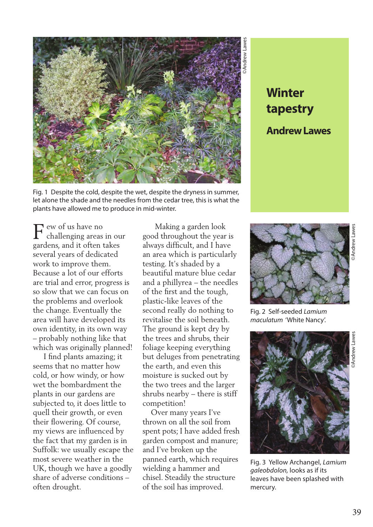

Fig. 1 Despite the cold, despite the wet, despite the dryness in summer, let alone the shade and the needles from the cedar tree, this is what the plants have allowed me to produce in mid-winter.

F ew of us have no<br>challenging areas challenging areas in our gardens, and it often takes several years of dedicated work to improve them. Because a lot of our efforts are trial and error, progress is so slow that we can focus on the problems and overlook the change. Eventually the area will have developed its own identity, in its own way – probably nothing like that which was originally planned!

 I find plants amazing; it seems that no matter how cold, or how windy, or how wet the bombardment the plants in our gardens are subjected to, it does little to quell their growth, or even their flowering. Of course, my views are influenced by the fact that my garden is in Suffolk: we usually escape the most severe weather in the UK, though we have a goodly share of adverse conditions – often drought.

 Making a garden look good throughout the year is always difficult, and I have an area which is particularly testing. It's shaded by a beautiful mature blue cedar and a phillyrea – the needles of the first and the tough, plastic-like leaves of the second really do nothing to revitalise the soil beneath. The ground is kept dry by the trees and shrubs, their foliage keeping everything but deluges from penetrating the earth, and even this moisture is sucked out by the two trees and the larger shrubs nearby – there is stiff competition!

 Over many years I've thrown on all the soil from spent pots; I have added fresh garden compost and manure; and I've broken up the panned earth, which requires wielding a hammer and chisel. Steadily the structure of the soil has improved.

**tapestry Andrew Lawes**



Fig. 2 Self-seeded *Lamium maculatum* 'White Nancy'.



Fig. 3 Yellow Archangel, *Lamium galeobdolon,* looks as if its leaves have been splashed with mercury.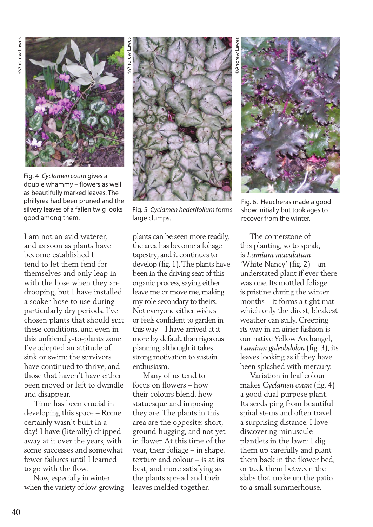

©Andrew Lawes

Fig. 4 *Cyclamen coum* gives a double whammy – flowers as well as beautifully marked leaves. The phillyrea had been pruned and the silvery leaves of a fallen twig looks good among them.

I am not an avid waterer, and as soon as plants have become established I tend to let them fend for themselves and only leap in with the hose when they are drooping, but I have installed a soaker hose to use during particularly dry periods. I've chosen plants that should suit these conditions, and even in this unfriendly-to-plants zone I've adopted an attitude of sink or swim: the survivors have continued to thrive, and those that haven't have either been moved or left to dwindle and disappear.

 Time has been crucial in developing this space – Rome certainly wasn't built in a day! I have (literally) chipped away at it over the years, with some successes and somewhat fewer failures until I learned to go with the flow.

 Now, especially in winter when the variety of low-growing



Fig. 5 *Cyclamen hederifolium* forms large clumps.

plants can be seen more readily, the area has become a foliage tapestry; and it continues to develop (fig. 1). The plants have been in the driving seat of this organic process, saying either leave me or move me, making my role secondary to theirs. Not everyone either wishes or feels confident to garden in this way – I have arrived at it more by default than rigorous planning, although it takes strong motivation to sustain enthusiasm.

 Many of us tend to focus on flowers – how their colours blend, how statuesque and imposing they are. The plants in this area are the opposite: short, ground-hugging, and not yet in flower. At this time of the year, their foliage – in shape, texture and colour – is at its best, and more satisfying as the plants spread and their leaves melded together.

©Andrew Lawes



Fig. 6. Heucheras made a good show initially but took ages to recover from the winter.

 The cornerstone of this planting, so to speak, is *Lamium maculatum*  'White Nancy' (fig. 2) – an understated plant if ever there was one. Its mottled foliage is pristine during the winter months – it forms a tight mat which only the direst, bleakest weather can sully. Creeping its way in an airier fashion is our native Yellow Archangel, *Lamium galeobdolon* (fig. 3), its leaves looking as if they have been splashed with mercury.

 Variation in leaf colour makes *Cyclamen coum* (fig. 4) a good dual-purpose plant. Its seeds ping from beautiful spiral stems and often travel a surprising distance. I love discovering minuscule plantlets in the lawn: I dig them up carefully and plant them back in the flower bed, or tuck them between the slabs that make up the patio to a small summerhouse.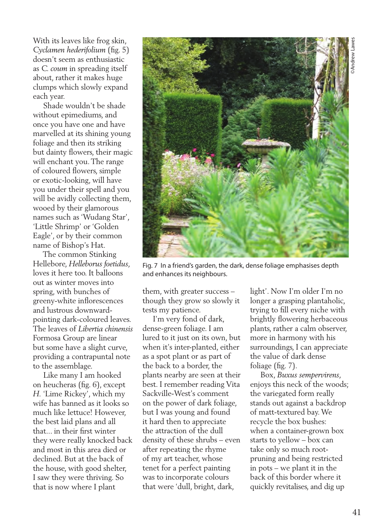With its leaves like frog skin, *Cyclamen hederifolium* (fig. 5) doesn't seem as enthusiastic as *C. coum* in spreading itself about, rather it makes huge clumps which slowly expand each year.

 Shade wouldn't be shade without epimediums, and once you have one and have marvelled at its shining young foliage and then its striking but dainty flowers, their magic will enchant you. The range of coloured flowers, simple or exotic-looking, will have you under their spell and you will be avidly collecting them, wooed by their glamorous names such as 'Wudang Star', 'Little Shrimp' or 'Golden Eagle', or by their common name of Bishop's Hat.

 The common Stinking Hellebore, *Helleborus foetidus*, loves it here too. It balloons out as winter moves into spring, with bunches of greeny-white inflorescences and lustrous downwardpointing dark-coloured leaves. The leaves of *Libertia chinensis* Formosa Group are linear but some have a slight curve, providing a contrapuntal note to the assemblage.

 Like many I am hooked on heucheras (fig. 6), except *H.* 'Lime Rickey', which my wife has banned as it looks so much like lettuce! However, the best laid plans and all that... in their first winter they were really knocked back and most in this area died or declined. But at the back of the house, with good shelter, I saw they were thriving. So that is now where I plant



Fig. 7 In a friend's garden, the dark, dense foliage emphasises depth and enhances its neighbours.

them, with greater success – though they grow so slowly it tests my patience.

 I'm very fond of dark, dense-green foliage. I am lured to it just on its own, but when it's inter-planted, either as a spot plant or as part of the back to a border, the plants nearby are seen at their best. I remember reading Vita Sackville-West's comment on the power of dark foliage, but I was young and found it hard then to appreciate the attraction of the dull density of these shrubs – even after repeating the rhyme of my art teacher, whose tenet for a perfect painting was to incorporate colours that were 'dull, bright, dark,

light'. Now I'm older I'm no longer a grasping plantaholic, trying to fill every niche with brightly flowering herbaceous plants, rather a calm observer, more in harmony with his surroundings, I can appreciate the value of dark dense foliage (fig. 7).

 Box, *Buxus sempervirens*, enjoys this neck of the woods; the variegated form really stands out against a backdrop of matt-textured bay. We recycle the box bushes: when a container-grown box starts to yellow – box can take only so much rootpruning and being restricted in pots – we plant it in the back of this border where it quickly revitalises, and dig up